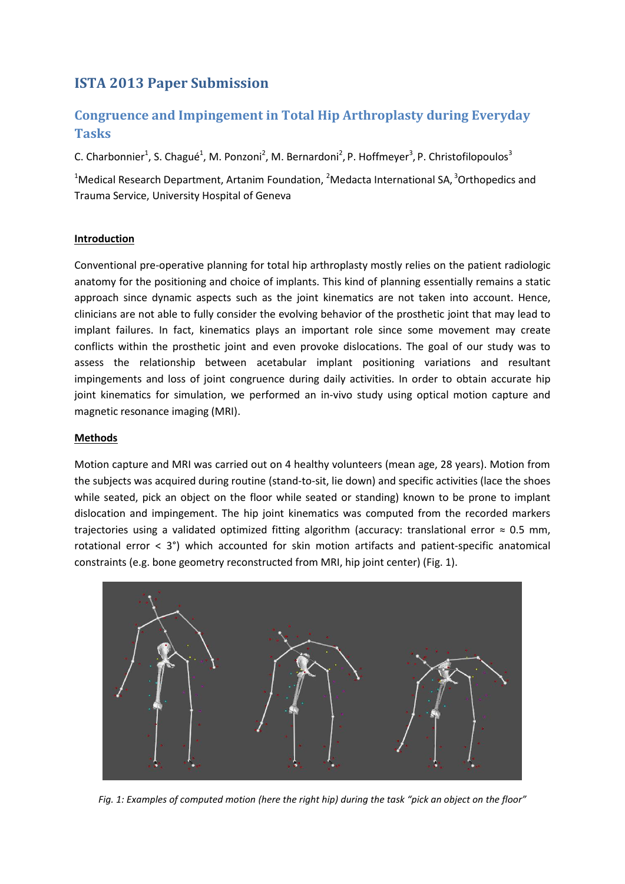# **ISTA 2013 Paper Submission**

# **Congruence and Impingement in Total Hip Arthroplasty during Everyday Tasks**

C. Charbonnier<sup>1</sup>, S. Chagué<sup>1</sup>, M. Ponzoni<sup>2</sup>, M. Bernardoni<sup>2</sup>, P. Hoffmeyer<sup>3</sup>, P. Christofilopoulos<sup>3</sup>

<sup>1</sup>Medical Research Department, Artanim Foundation, <sup>2</sup>Medacta International SA, <sup>3</sup>Orthopedics and Trauma Service, University Hospital of Geneva

## **Introduction**

Conventional pre-operative planning for total hip arthroplasty mostly relies on the patient radiologic anatomy for the positioning and choice of implants. This kind of planning essentially remains a static approach since dynamic aspects such as the joint kinematics are not taken into account. Hence, clinicians are not able to fully consider the evolving behavior of the prosthetic joint that may lead to implant failures. In fact, kinematics plays an important role since some movement may create conflicts within the prosthetic joint and even provoke dislocations. The goal of our study was to assess the relationship between acetabular implant positioning variations and resultant impingements and loss of joint congruence during daily activities. In order to obtain accurate hip joint kinematics for simulation, we performed an in-vivo study using optical motion capture and magnetic resonance imaging (MRI).

### **Methods**

Motion capture and MRI was carried out on 4 healthy volunteers (mean age, 28 years). Motion from the subjects was acquired during routine (stand-to-sit, lie down) and specific activities (lace the shoes while seated, pick an object on the floor while seated or standing) known to be prone to implant dislocation and impingement. The hip joint kinematics was computed from the recorded markers trajectories using a validated optimized fitting algorithm (accuracy: translational error ≈ 0.5 mm, rotational error < 3°) which accounted for skin motion artifacts and patient-specific anatomical constraints (e.g. bone geometry reconstructed from MRI, hip joint center) (Fig. 1).



*Fig. 1: Examples of computed motion (here the right hip) during the task "pick an object on the floor"*